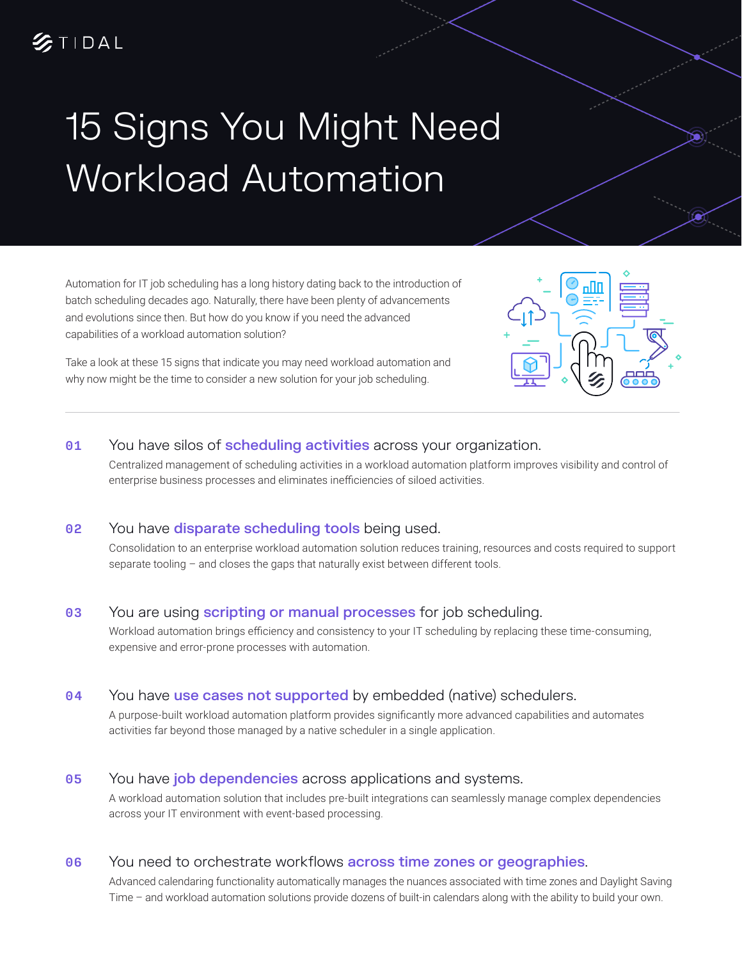# 15 Signs You Might Need Workload Automation

Automation for IT job scheduling has a long history dating back to the introduction of batch scheduling decades ago. Naturally, there have been plenty of advancements and evolutions since then. But how do you know if you need the advanced capabilities of a workload automation solution?

Take a look at these 15 signs that indicate you may need workload automation and why now might be the time to consider a new solution for your job scheduling.

# 01 You have silos of scheduling activities across your organization.

Centralized management of scheduling activities in a workload automation platform improves visibility and control of enterprise business processes and eliminates inefficiencies of siloed activities.

# 02 You have **disparate scheduling tools** being used.

Consolidation to an enterprise workload automation solution reduces training, resources and costs required to support separate tooling – and closes the gaps that naturally exist between different tools.

# 03 You are using **scripting or manual processes** for job scheduling.

Workload automation brings efficiency and consistency to your IT scheduling by replacing these time-consuming, expensive and error-prone processes with automation.

#### 04 You have use cases not supported by embedded (native) schedulers.

A purpose-built workload automation platform provides significantly more advanced capabilities and automates activities far beyond those managed by a native scheduler in a single application.

#### 05 You have job dependencies across applications and systems.

A workload automation solution that includes pre-built integrations can seamlessly manage complex dependencies across your IT environment with event-based processing.

#### 06 You need to orchestrate workflows **across time zones or geographies**.

Advanced calendaring functionality automatically manages the nuances associated with time zones and Daylight Saving Time – and workload automation solutions provide dozens of built-in calendars along with the ability to build your own.